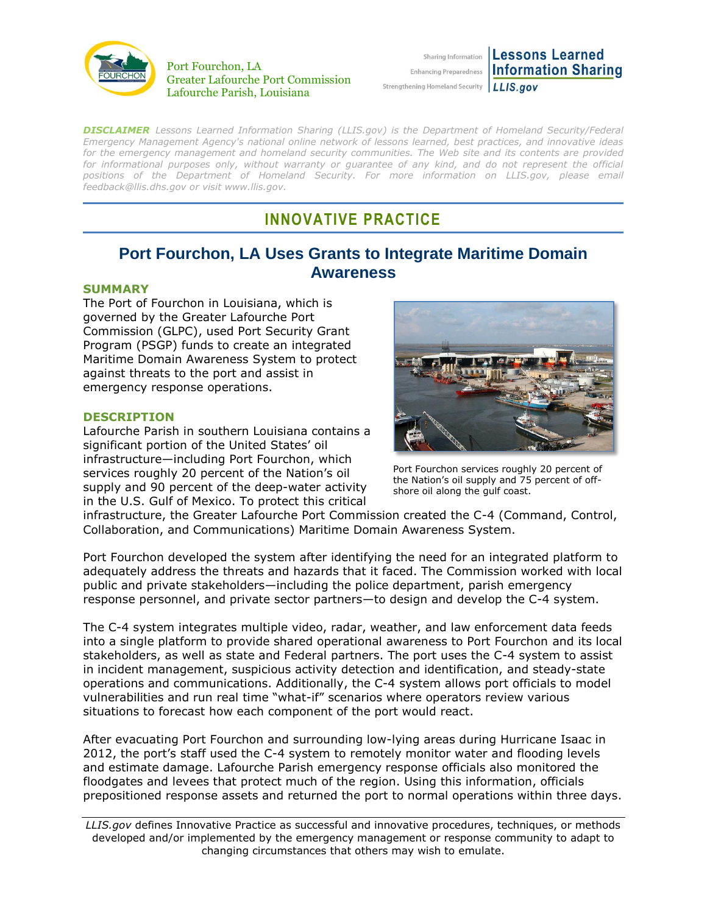

#### Port Fourchon, LA Greater Lafourche Port Commission Lafourche Parish, Louisiana

|                                                              | <b>Enhancing Information Lessons Learned</b><br><b>Enhancing Preparedness</b> Information Sharing |
|--------------------------------------------------------------|---------------------------------------------------------------------------------------------------|
|                                                              |                                                                                                   |
| ngthening Homeland Security $\lfloor L L S_{.} grow \rfloor$ |                                                                                                   |

*DISCLAIMER Lessons Learned Information Sharing (LLIS.gov) is the Department of Homeland Security/Federal Emergency Management Agency's national online network of lessons learned, best practices, and innovative ideas for the emergency management and homeland security communities. The Web site and its contents are provided*  for informational purposes only, without warranty or quarantee of any kind, and do not represent the official positions of the Department of Homeland Security. For more information on LLIS.gov, please email *[feedback@llis.dhs.gov](mailto:feedback@llis.dhs.gov) or visit [www.llis.gov.](https://www.llis.gov/)*

Stre

# **INNOVATIVE PRACTICE**

## **Port Fourchon, LA Uses Grants to Integrate Maritime Domain Awareness**

#### **SUMMARY**

The Port of Fourchon in Louisiana, which is governed by the Greater Lafourche Port Commission (GLPC), used Port Security Grant Program (PSGP) funds to create an integrated Maritime Domain Awareness System to protect against threats to the port and assist in emergency response operations.

#### <span id="page-0-0"></span>**[DESCRIPTION](#page-0-0)**

Lafourche Parish in southern Louisiana contains a significant portion of the United States' oil infrastructure—including Port Fourchon, which services roughly 20 percent of the Nation's oil supply and 90 percent of the deep-water activity in the U.S. Gulf of Mexico. To protect this critical



Port Fourchon services roughly 20 percent of the Nation's oil supply and 75 percent of offshore oil along the gulf coast.

infrastructure, the Greater Lafourche Port Commission created the C-4 (Command, Control, Collaboration, and Communications) Maritime Domain Awareness System.

Port Fourchon developed the system after identifying the need for an integrated platform to adequately address the threats and hazards that it faced. The Commission worked with local public and private stakeholders—including the police department, parish emergency response personnel, and private sector partners—to design and develop the C-4 system.

The C-4 system integrates multiple video, radar, weather, and law enforcement data feeds into a single platform to provide shared operational awareness to Port Fourchon and its local stakeholders, as well as state and Federal partners. The port uses the C-4 system to assist in incident management, suspicious activity detection and identification, and steady-state operations and communications. Additionally, the C-4 system allows port officials to model vulnerabilities and run real time "what-if" scenarios where operators review various situations to forecast how each component of the port would react.

After evacuating Port Fourchon and surrounding low-lying areas during Hurricane Isaac in 2012, the port's staff used the C-4 system to remotely monitor water and flooding levels and estimate damage. Lafourche Parish emergency response officials also monitored the floodgates and levees that protect much of the region. Using this information, officials prepositioned response assets and returned the port to normal operations within three days.

*LLIS.gov* defines Innovative Practice as successful and innovative procedures, techniques, or methods developed and/or implemented by the emergency management or response community to adapt to changing circumstances that others may wish to emulate.